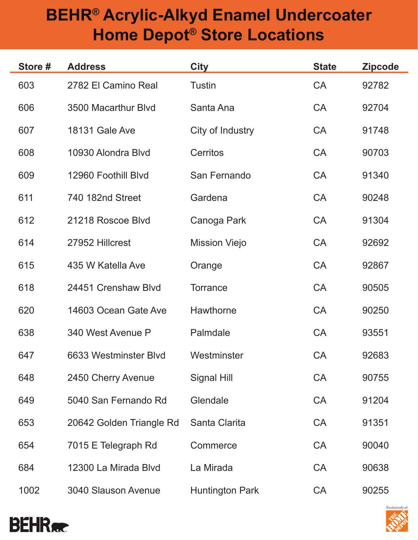## **BEHR® Acrylic-Alkyd Enamel Undercoater Home Depot® Store Locations**

| Store # | <b>Address</b>             | <b>City</b>            | <b>State</b> | <b>Zipcode</b> |
|---------|----------------------------|------------------------|--------------|----------------|
| 603     | 2782 El Camino Real        | <b>Tustin</b>          | <b>CA</b>    | 92782          |
| 606     | 3500 Macarthur Blvd        | Santa Ana              | <b>CA</b>    | 92704          |
| 607     | <b>18131 Gale Ave</b>      | City of Industry       | <b>CA</b>    | 91748          |
| 608     | 10930 Alondra Blvd         | Cerritos               | <b>CA</b>    | 90703          |
| 609     | 12960 Foothill Blvd        | San Fernando           | <b>CA</b>    | 91340          |
| 611     | 740 182nd Street           | Gardena                | CA           | 90248          |
| 612     | 21218 Roscoe Blvd          | Canoga Park            | <b>CA</b>    | 91304          |
| 614     | 27952 Hillcrest            | <b>Mission Viejo</b>   | <b>CA</b>    | 92692          |
| 615     | 435 W Katella Ave          | Orange                 | <b>CA</b>    | 92867          |
| 618     | 24451 Crenshaw Blvd        | <b>Torrance</b>        | <b>CA</b>    | 90505          |
| 620     | 14603 Ocean Gate Ave       | <b>Hawthorne</b>       | <b>CA</b>    | 90250          |
| 638     | 340 West Avenue P          | Palmdale               | <b>CA</b>    | 93551          |
| 647     | 6633 Westminster Blyd      | Westminster            | <b>CA</b>    | 92683          |
| 648     | 2450 Cherry Avenue         | Signal Hill            | <b>CA</b>    | 90755          |
| 649     | 5040 San Fernando Rd       | Glendale               | <b>CA</b>    | 91204          |
| 653     | 20642 Golden Triangle Rd   | Santa Clarita          | <b>CA</b>    | 91351          |
| 654     | 7015 E Telegraph Rd        | Commerce               | <b>CA</b>    | 90040          |
| 684     | 12300 La Mirada Blyd       | La Mirada              | <b>CA</b>    | 90638          |
| 1002    | <b>3040 Slauson Avenue</b> | <b>Huntington Park</b> | CA           | 90255          |



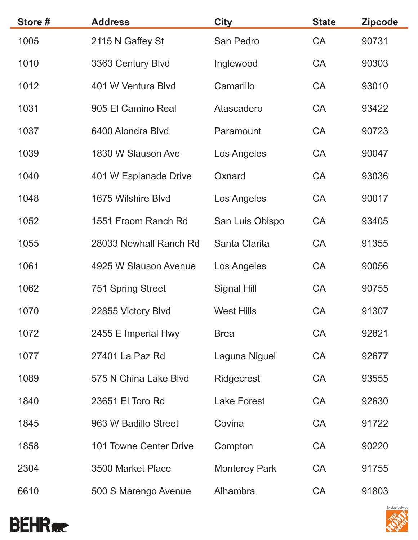| Store # | <b>Address</b>         | <b>City</b>          | <b>State</b> | <b>Zipcode</b> |
|---------|------------------------|----------------------|--------------|----------------|
| 1005    | 2115 N Gaffey St       | San Pedro            | CA           | 90731          |
| 1010    | 3363 Century Blvd      | Inglewood            | <b>CA</b>    | 90303          |
| 1012    | 401 W Ventura Blvd     | Camarillo            | <b>CA</b>    | 93010          |
| 1031    | 905 El Camino Real     | Atascadero           | <b>CA</b>    | 93422          |
| 1037    | 6400 Alondra Blvd      | Paramount            | <b>CA</b>    | 90723          |
| 1039    | 1830 W Slauson Ave     | Los Angeles          | CA           | 90047          |
| 1040    | 401 W Esplanade Drive  | Oxnard               | <b>CA</b>    | 93036          |
| 1048    | 1675 Wilshire Blvd     | Los Angeles          | <b>CA</b>    | 90017          |
| 1052    | 1551 Froom Ranch Rd    | San Luis Obispo      | <b>CA</b>    | 93405          |
| 1055    | 28033 Newhall Ranch Rd | Santa Clarita        | <b>CA</b>    | 91355          |
| 1061    | 4925 W Slauson Avenue  | Los Angeles          | CA           | 90056          |
| 1062    | 751 Spring Street      | Signal Hill          | CA           | 90755          |
| 1070    | 22855 Victory Blvd     | <b>West Hills</b>    | <b>CA</b>    | 91307          |
| 1072    | 2455 E Imperial Hwy    | <b>Brea</b>          | <b>CA</b>    | 92821          |
| 1077    | 27401 La Paz Rd        | Laguna Niguel        | <b>CA</b>    | 92677          |
| 1089    | 575 N China Lake Blvd  | Ridgecrest           | <b>CA</b>    | 93555          |
| 1840    | 23651 El Toro Rd       | <b>Lake Forest</b>   | <b>CA</b>    | 92630          |
| 1845    | 963 W Badillo Street   | Covina               | <b>CA</b>    | 91722          |
| 1858    | 101 Towne Center Drive | Compton              | <b>CA</b>    | 90220          |
| 2304    | 3500 Market Place      | <b>Monterey Park</b> | <b>CA</b>    | 91755          |
| 6610    | 500 S Marengo Avenue   | Alhambra             | CA           | 91803          |



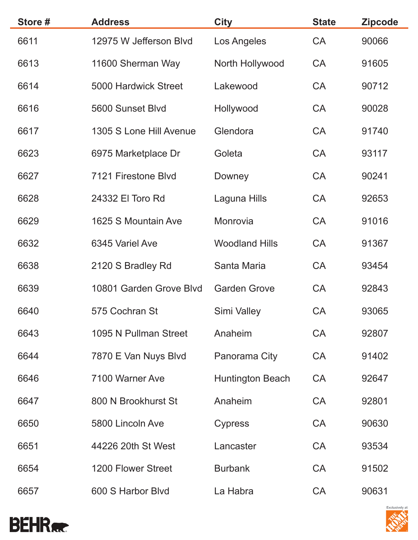| Store # | <b>Address</b>          | <b>City</b>             | <b>State</b> | <b>Zipcode</b> |
|---------|-------------------------|-------------------------|--------------|----------------|
| 6611    | 12975 W Jefferson Blvd  | Los Angeles             | <b>CA</b>    | 90066          |
| 6613    | 11600 Sherman Way       | North Hollywood         | <b>CA</b>    | 91605          |
| 6614    | 5000 Hardwick Street    | Lakewood                | <b>CA</b>    | 90712          |
| 6616    | 5600 Sunset Blvd        | Hollywood               | <b>CA</b>    | 90028          |
| 6617    | 1305 S Lone Hill Avenue | Glendora                | <b>CA</b>    | 91740          |
| 6623    | 6975 Marketplace Dr     | Goleta                  | <b>CA</b>    | 93117          |
| 6627    | 7121 Firestone Blvd     | Downey                  | <b>CA</b>    | 90241          |
| 6628    | 24332 El Toro Rd        | Laguna Hills            | <b>CA</b>    | 92653          |
| 6629    | 1625 S Mountain Ave     | Monrovia                | <b>CA</b>    | 91016          |
| 6632    | 6345 Variel Ave         | <b>Woodland Hills</b>   | <b>CA</b>    | 91367          |
| 6638    | 2120 S Bradley Rd       | Santa Maria             | <b>CA</b>    | 93454          |
| 6639    | 10801 Garden Grove Blvd | <b>Garden Grove</b>     | <b>CA</b>    | 92843          |
| 6640    | 575 Cochran St          | Simi Valley             | <b>CA</b>    | 93065          |
| 6643    | 1095 N Pullman Street   | Anaheim                 | <b>CA</b>    | 92807          |
| 6644    | 7870 E Van Nuys Blvd    | Panorama City           | <b>CA</b>    | 91402          |
| 6646    | 7100 Warner Ave         | <b>Huntington Beach</b> | <b>CA</b>    | 92647          |
| 6647    | 800 N Brookhurst St     | Anaheim                 | <b>CA</b>    | 92801          |
| 6650    | 5800 Lincoln Ave        | <b>Cypress</b>          | <b>CA</b>    | 90630          |
| 6651    | 44226 20th St West      | Lancaster               | <b>CA</b>    | 93534          |
| 6654    | 1200 Flower Street      | <b>Burbank</b>          | <b>CA</b>    | 91502          |
| 6657    | 600 S Harbor Blyd       | La Habra                | <b>CA</b>    | 90631          |